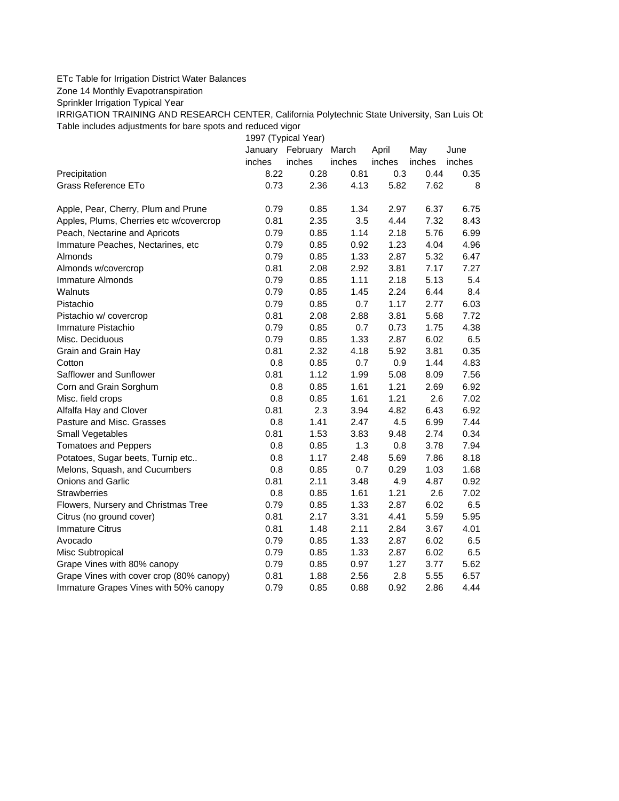## ETc Table for Irrigation District Water Balances

Zone 14 Monthly Evapotranspiration

Sprinkler Irrigation Typical Year

IRRIGATION TRAINING AND RESEARCH CENTER, California Polytechnic State University, San Luis Ob Table includes adjustments for bare spots and reduced vigor

1997 (Typical Year) January February March April May June inches inches inches inches inches inches Precipitation **8.22 0.28 0.81 0.3** 0.44 0.35 Grass Reference ETo **6.82 1.43 5.82 7.62** 8 Apple, Pear, Cherry, Plum and Prune 0.79 0.85 1.34 2.97 6.37 6.75 Apples, Plums, Cherries etc w/covercrop  $0.81$  2.35 3.5 4.44 7.32 8.43 Peach, Nectarine and Apricots 0.79 0.85 1.14 2.18 5.76 6.99 Immature Peaches, Nectarines, etc 0.79 0.85 0.92 1.23 4.04 4.96 Almonds 0.79 0.85 1.33 2.87 5.32 6.47 Almonds w/covercrop 0.81 2.08 2.92 3.81 7.17 7.27 Immature Almonds 0.79 0.85 1.11 2.18 5.13 5.4 Walnuts 0.79 0.85 1.45 2.24 6.44 8.4 Pistachio 0.79 0.85 0.7 1.17 2.77 6.03 Pistachio w/ covercrop 0.81 2.08 2.88 3.81 5.68 7.72 Immature Pistachio 0.79 0.85 0.7 0.73 1.75 4.38 Misc. Deciduous 0.79 0.85 1.33 2.87 6.02 6.5 Grain and Grain Hay **0.81 0.81 2.32 4.18 5.92 3.81 0.35** Cotton 0.8 0.85 0.7 0.9 1.44 4.83 Safflower and Sunflower 0.81 1.12 1.99 5.08 8.09 7.56 Corn and Grain Sorghum 0.8 0.85 1.61 1.21 2.69 6.92 Misc. field crops 0.8 0.85 1.61 1.21 2.6 7.02 Alfalfa Hay and Clover 0.81 2.3 3.94 4.82 6.43 6.92 Pasture and Misc. Grasses 0.8 1.41 2.47 4.5 6.99 7.44 Small Vegetables 0.81 1.53 3.83 9.48 2.74 0.34 Tomatoes and Peppers 0.8 0.85 1.3 0.8 3.78 7.94 Potatoes, Sugar beets, Turnip etc.. 0.8 1.17 2.48 5.69 7.86 8.18 Melons, Squash, and Cucumbers 0.8 0.85 0.7 0.29 1.03 1.68 Onions and Garlic 0.81 2.11 3.48 4.9 4.87 0.92 Strawberries 0.8 0.85 1.61 1.21 2.6 7.02 Flowers, Nursery and Christmas Tree  $0.79$   $0.85$   $1.33$   $2.87$   $6.02$   $6.5$ Citrus (no ground cover) 0.81 2.17 3.31 4.41 5.59 5.95 Immature Citrus 0.81 1.48 2.11 2.84 3.67 4.01 Avocado 0.79 0.85 1.33 2.87 6.02 6.5 Misc Subtropical 0.79 0.85 1.33 2.87 6.02 6.5 Grape Vines with 80% canopy  $0.79$  0.85 0.97 1.27 3.77 5.62 Grape Vines with cover crop (80% canopy)  $0.81$  1.88 2.56 2.8 5.55 6.57 Immature Grapes Vines with 50% canopy 0.79 0.85 0.88 0.92 2.86 4.44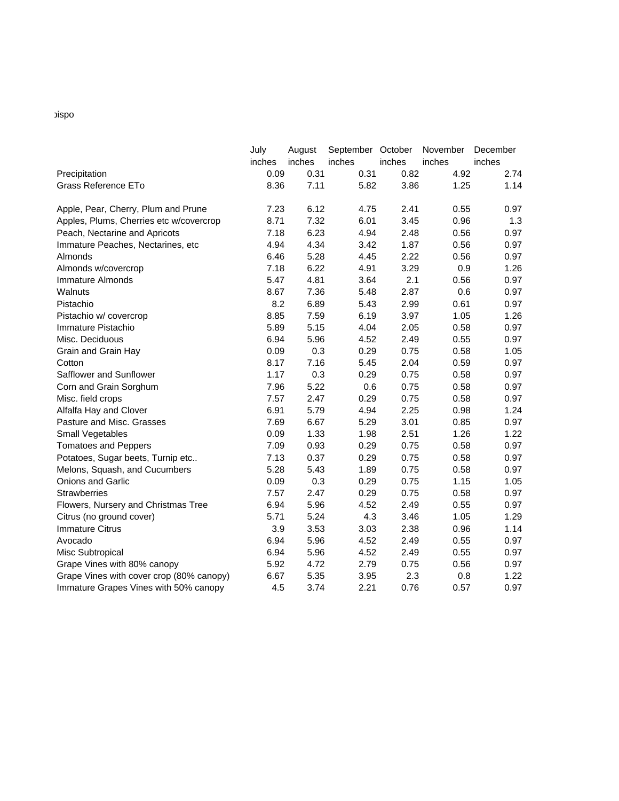## bispo

|                                          | July<br>inches | August<br>inches | September October<br>inches | inches | November<br>inches | December<br>inches |
|------------------------------------------|----------------|------------------|-----------------------------|--------|--------------------|--------------------|
| Precipitation                            | 0.09           | 0.31             | 0.31                        | 0.82   | 4.92               | 2.74               |
| Grass Reference ETo                      | 8.36           | 7.11             | 5.82                        | 3.86   | 1.25               | 1.14               |
|                                          |                |                  |                             |        |                    |                    |
| Apple, Pear, Cherry, Plum and Prune      | 7.23           | 6.12             | 4.75                        | 2.41   | 0.55               | 0.97               |
| Apples, Plums, Cherries etc w/covercrop  | 8.71           | 7.32             | 6.01                        | 3.45   | 0.96               | 1.3                |
| Peach, Nectarine and Apricots            | 7.18           | 6.23             | 4.94                        | 2.48   | 0.56               | 0.97               |
| Immature Peaches, Nectarines, etc        | 4.94           | 4.34             | 3.42                        | 1.87   | 0.56               | 0.97               |
| Almonds                                  | 6.46           | 5.28             | 4.45                        | 2.22   | 0.56               | 0.97               |
| Almonds w/covercrop                      | 7.18           | 6.22             | 4.91                        | 3.29   | 0.9                | 1.26               |
| Immature Almonds                         | 5.47           | 4.81             | 3.64                        | 2.1    | 0.56               | 0.97               |
| Walnuts                                  | 8.67           | 7.36             | 5.48                        | 2.87   | 0.6                | 0.97               |
| Pistachio                                | 8.2            | 6.89             | 5.43                        | 2.99   | 0.61               | 0.97               |
| Pistachio w/ covercrop                   | 8.85           | 7.59             | 6.19                        | 3.97   | 1.05               | 1.26               |
| Immature Pistachio                       | 5.89           | 5.15             | 4.04                        | 2.05   | 0.58               | 0.97               |
| Misc. Deciduous                          | 6.94           | 5.96             | 4.52                        | 2.49   | 0.55               | 0.97               |
| Grain and Grain Hay                      | 0.09           | 0.3              | 0.29                        | 0.75   | 0.58               | 1.05               |
| Cotton                                   | 8.17           | 7.16             | 5.45                        | 2.04   | 0.59               | 0.97               |
| Safflower and Sunflower                  | 1.17           | 0.3              | 0.29                        | 0.75   | 0.58               | 0.97               |
| Corn and Grain Sorghum                   | 7.96           | 5.22             | 0.6                         | 0.75   | 0.58               | 0.97               |
| Misc. field crops                        | 7.57           | 2.47             | 0.29                        | 0.75   | 0.58               | 0.97               |
| Alfalfa Hay and Clover                   | 6.91           | 5.79             | 4.94                        | 2.25   | 0.98               | 1.24               |
| Pasture and Misc. Grasses                | 7.69           | 6.67             | 5.29                        | 3.01   | 0.85               | 0.97               |
| Small Vegetables                         | 0.09           | 1.33             | 1.98                        | 2.51   | 1.26               | 1.22               |
| <b>Tomatoes and Peppers</b>              | 7.09           | 0.93             | 0.29                        | 0.75   | 0.58               | 0.97               |
| Potatoes, Sugar beets, Turnip etc        | 7.13           | 0.37             | 0.29                        | 0.75   | 0.58               | 0.97               |
| Melons, Squash, and Cucumbers            | 5.28           | 5.43             | 1.89                        | 0.75   | 0.58               | 0.97               |
| <b>Onions and Garlic</b>                 | 0.09           | 0.3              | 0.29                        | 0.75   | 1.15               | 1.05               |
| <b>Strawberries</b>                      | 7.57           | 2.47             | 0.29                        | 0.75   | 0.58               | 0.97               |
| Flowers, Nursery and Christmas Tree      | 6.94           | 5.96             | 4.52                        | 2.49   | 0.55               | 0.97               |
| Citrus (no ground cover)                 | 5.71           | 5.24             | 4.3                         | 3.46   | 1.05               | 1.29               |
| <b>Immature Citrus</b>                   | 3.9            | 3.53             | 3.03                        | 2.38   | 0.96               | 1.14               |
| Avocado                                  | 6.94           | 5.96             | 4.52                        | 2.49   | 0.55               | 0.97               |
| Misc Subtropical                         | 6.94           | 5.96             | 4.52                        | 2.49   | 0.55               | 0.97               |
| Grape Vines with 80% canopy              | 5.92           | 4.72             | 2.79                        | 0.75   | 0.56               | 0.97               |
| Grape Vines with cover crop (80% canopy) | 6.67           | 5.35             | 3.95                        | 2.3    | 0.8                | 1.22               |
| Immature Grapes Vines with 50% canopy    | 4.5            | 3.74             | 2.21                        | 0.76   | 0.57               | 0.97               |